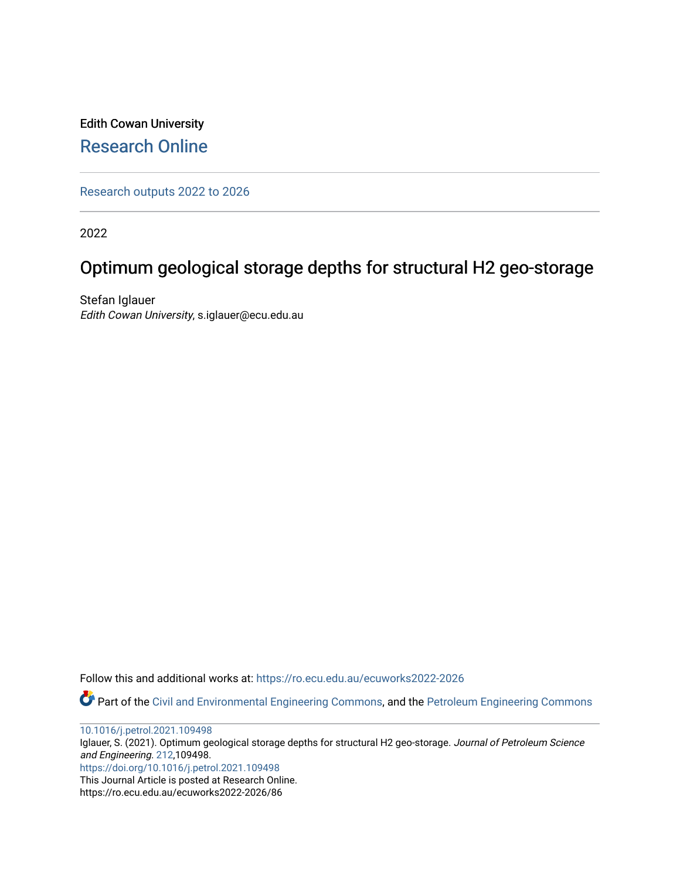Edith Cowan University [Research Online](https://ro.ecu.edu.au/) 

[Research outputs 2022 to 2026](https://ro.ecu.edu.au/ecuworks2022-2026) 

2022

# Optimum geological storage depths for structural H2 geo-storage

Stefan Iglauer Edith Cowan University, s.iglauer@ecu.edu.au

Follow this and additional works at: [https://ro.ecu.edu.au/ecuworks2022-2026](https://ro.ecu.edu.au/ecuworks2022-2026?utm_source=ro.ecu.edu.au%2Fecuworks2022-2026%2F86&utm_medium=PDF&utm_campaign=PDFCoverPages)

Part of the [Civil and Environmental Engineering Commons](http://network.bepress.com/hgg/discipline/251?utm_source=ro.ecu.edu.au%2Fecuworks2022-2026%2F86&utm_medium=PDF&utm_campaign=PDFCoverPages), and the [Petroleum Engineering Commons](http://network.bepress.com/hgg/discipline/245?utm_source=ro.ecu.edu.au%2Fecuworks2022-2026%2F86&utm_medium=PDF&utm_campaign=PDFCoverPages) 

[10.1016/j.petrol.2021.109498](http://dx.doi.org/10.1016/j.petrol.2021.109498)

Iglauer, S. (2021). Optimum geological storage depths for structural H2 geo-storage. Journal of Petroleum Science and Engineering. [212,](https://www.sciencedirect.com/journal/journal-of-petroleum-science-and-engineering/vol/212/suppl/C)109498. <https://doi.org/10.1016/j.petrol.2021.109498>

This Journal Article is posted at Research Online.

https://ro.ecu.edu.au/ecuworks2022-2026/86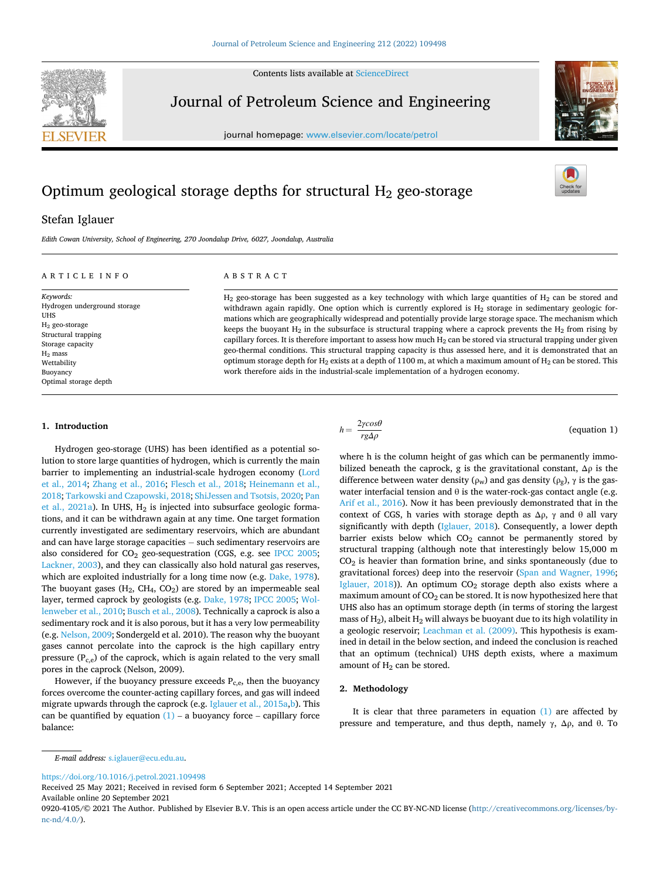Contents lists available at [ScienceDirect](www.sciencedirect.com/science/journal/09204105)



## Journal of Petroleum Science and Engineering

journal homepage: [www.elsevier.com/locate/petrol](https://www.elsevier.com/locate/petrol)



### Stefan Iglauer

*Edith Cowan University, School of Engineering, 270 Joondalup Drive, 6027, Joondalup, Australia* 

#### ARTICLE INFO

*Keywords:*  Hydrogen underground storage UHS H2 geo-storage Structural trapping Storage capacity  $H<sub>2</sub>$  mass Wettability Buoyancy Optimal storage depth

#### ABSTRACT

H<sub>2</sub> geo-storage has been suggested as a key technology with which large quantities of H<sub>2</sub> can be stored and withdrawn again rapidly. One option which is currently explored is  $H<sub>2</sub>$  storage in sedimentary geologic formations which are geographically widespread and potentially provide large storage space. The mechanism which keeps the buoyant  $H_2$  in the subsurface is structural trapping where a caprock prevents the  $H_2$  from rising by capillary forces. It is therefore important to assess how much  $H_2$  can be stored via structural trapping under given geo-thermal conditions. This structural trapping capacity is thus assessed here, and it is demonstrated that an optimum storage depth for H<sub>2</sub> exists at a depth of 1100 m, at which a maximum amount of H<sub>2</sub> can be stored. This work therefore aids in the industrial-scale implementation of a hydrogen economy.

#### **1. Introduction**

Hydrogen geo-storage (UHS) has been identified as a potential solution to store large quantities of hydrogen, which is currently the main barrier to implementing an industrial-scale hydrogen economy [\(Lord](#page-4-0)  [et al., 2014;](#page-4-0) [Zhang et al., 2016](#page-4-0); [Flesch et al., 2018](#page-4-0); [Heinemann et al.,](#page-4-0)  [2018; Tarkowski and Czapowski, 2018; ShiJessen and Tsotsis, 2020; Pan](#page-4-0)  et al.,  $2021a$ ). In UHS,  $H_2$  is injected into subsurface geologic formations, and it can be withdrawn again at any time. One target formation currently investigated are sedimentary reservoirs, which are abundant and can have large storage capacities − such sedimentary reservoirs are also considered for  $CO<sub>2</sub>$  geo-sequestration (CGS, e.g. see [IPCC 2005](#page-4-0); [Lackner, 2003](#page-4-0)), and they can classically also hold natural gas reserves, which are exploited industrially for a long time now (e.g. [Dake, 1978](#page-4-0)). The buoyant gases  $(H_2, CH_4, CO_2)$  are stored by an impermeable seal layer, termed caprock by geologists (e.g. [Dake, 1978; IPCC 2005](#page-4-0); [Wol](#page-4-0)[lenweber et al., 2010; Busch et al., 2008\)](#page-4-0). Technically a caprock is also a sedimentary rock and it is also porous, but it has a very low permeability (e.g. [Nelson, 2009;](#page-4-0) Sondergeld et al. 2010). The reason why the buoyant gases cannot percolate into the caprock is the high capillary entry pressure  $(P_{c,e})$  of the caprock, which is again related to the very small pores in the caprock (Nelson, 2009).

However, if the buoyancy pressure exceeds  $P_{c,e}$ , then the buoyancy forces overcome the counter-acting capillary forces, and gas will indeed migrate upwards through the caprock (e.g. [Iglauer et al., 2015a,b](#page-4-0)). This can be quantified by equation  $(1)$  – a buoyancy force – capillary force balance:

where h is the column height of gas which can be permanently immobilized beneath the caprock, g is the gravitational constant,  $\Delta \rho$  is the difference between water density ( $\rho_w$ ) and gas density ( $\rho_g$ ),  $\gamma$  is the gaswater interfacial tension and  $\theta$  is the water-rock-gas contact angle (e.g. [Arif et al., 2016\)](#page-4-0). Now it has been previously demonstrated that in the context of CGS, h varies with storage depth as  $\Delta \rho$ ,  $\gamma$  and  $\theta$  all vary significantly with depth [\(Iglauer, 2018](#page-4-0)). Consequently, a lower depth barrier exists below which  $CO<sub>2</sub>$  cannot be permanently stored by structural trapping (although note that interestingly below 15,000 m  $CO<sub>2</sub>$  is heavier than formation brine, and sinks spontaneously (due to gravitational forces) deep into the reservoir [\(Span and Wagner, 1996](#page-4-0); Iglauer,  $2018$ ). An optimum  $CO<sub>2</sub>$  storage depth also exists where a maximum amount of  $CO<sub>2</sub>$  can be stored. It is now hypothesized here that UHS also has an optimum storage depth (in terms of storing the largest mass of  $H_2$ ), albeit  $H_2$  will always be buoyant due to its high volatility in a geologic reservoir; [Leachman et al. \(2009\)](#page-4-0). This hypothesis is examined in detail in the below section, and indeed the conclusion is reached that an optimum (technical) UHS depth exists, where a maximum amount of  $H_2$  can be stored.

#### **2. Methodology**

 $h = \frac{2\gamma cos\theta}{rg\Delta\rho}$ 

It is clear that three parameters in equation  $(1)$  are affected by pressure and temperature, and thus depth, namely  $γ$ , Δ $ρ$ , and  $θ$ . To

<https://doi.org/10.1016/j.petrol.2021.109498>

Available online 20 September 2021 Received 25 May 2021; Received in revised form 6 September 2021; Accepted 14 September 2021



(equation 1)

*E-mail address:* [s.iglauer@ecu.edu.au](mailto:s.iglauer@ecu.edu.au).

<sup>0920-4105/© 2021</sup> The Author. Published by Elsevier B.V. This is an open access article under the CC BY-NC-ND license([http://creativecommons.org/licenses/by](http://creativecommons.org/licenses/by-nc-nd/4.0/) $nc\text{-}nd/4.0/$ ).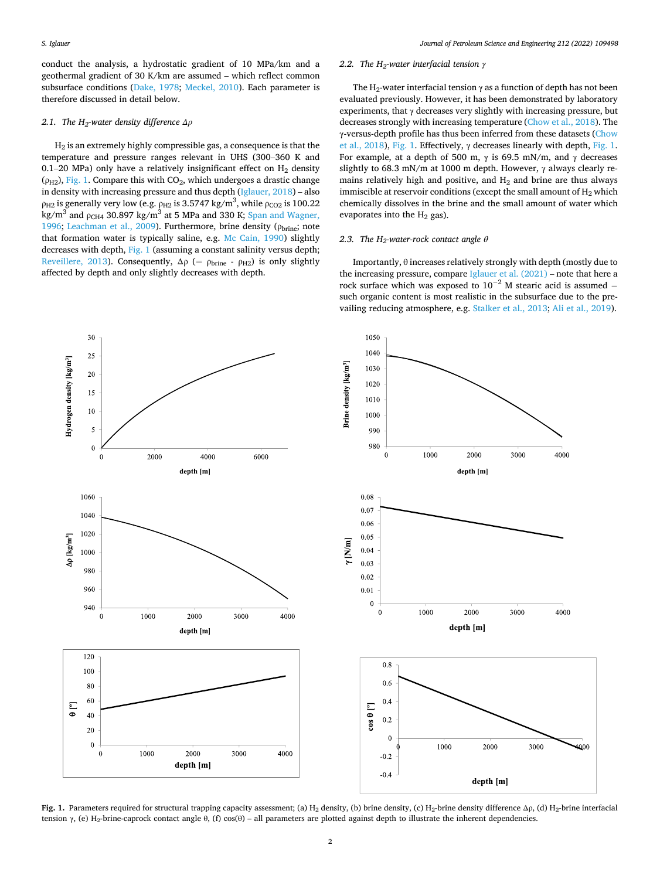<span id="page-2-0"></span>conduct the analysis, a hydrostatic gradient of 10 MPa/km and a geothermal gradient of 30 K/km are assumed – which reflect common subsurface conditions ([Dake, 1978;](#page-4-0) [Meckel, 2010](#page-4-0)). Each parameter is therefore discussed in detail below.

#### *2.1. The H2-water density difference Δρ*

H2 is an extremely highly compressible gas, a consequence is that the temperature and pressure ranges relevant in UHS (300–360 K and 0.1–20 MPa) only have a relatively insignificant effect on  $H_2$  density ( $\rho_{H2}$ ), Fig. 1. Compare this with CO<sub>2</sub>, which undergoes a drastic change in density with increasing pressure and thus depth  $(Iglauer, 2018)$  $(Iglauer, 2018)$  – also  $ρ<sub>H2</sub>$  is generally very low (e.g.  $ρ<sub>H2</sub>$  is 3.5747 kg/m<sup>3</sup>, while  $ρ<sub>CO2</sub>$  is 100.22 kg/m<sup>3</sup> and  $\rho_{CH4}$  30.897 kg/m<sup>3</sup> at 5 MPa and 330 K; Span and Wagner, [1996;](#page-4-0) [Leachman et al., 2009](#page-4-0)). Furthermore, brine density ( $\rho_{\text{brine}}$ ; note that formation water is typically saline, e.g. [Mc Cain, 1990](#page-4-0)) slightly decreases with depth, Fig. 1 (assuming a constant salinity versus depth; [Reveillere, 2013](#page-4-0)). Consequently,  $\Delta \rho$  (=  $\rho_{\text{brine}}$  -  $\rho_{\text{H2}}$ ) is only slightly affected by depth and only slightly decreases with depth.

#### *2.2. The H2-water interfacial tension γ*

The H<sub>2</sub>-water interfacial tension  $\gamma$  as a function of depth has not been evaluated previously. However, it has been demonstrated by laboratory experiments, that  $\gamma$  decreases very slightly with increasing pressure, but decreases strongly with increasing temperature [\(Chow et al., 2018](#page-4-0)). The γ-versus-depth profile has thus been inferred from these datasets ([Chow](#page-4-0)  [et al., 2018\)](#page-4-0), Fig. 1. Effectively,  $\gamma$  decreases linearly with depth, Fig. 1. For example, at a depth of 500 m,  $\gamma$  is 69.5 mN/m, and  $\gamma$  decreases slightly to 68.3 mN/m at 1000 m depth. However, γ always clearly remains relatively high and positive, and  $H_2$  and brine are thus always immiscible at reservoir conditions (except the small amount of  $H_2$  which chemically dissolves in the brine and the small amount of water which evaporates into the  $H_2$  gas).

#### 2.3. The  $H_2$ -water-rock contact angle  $\theta$

Importantly, θ increases relatively strongly with depth (mostly due to the increasing pressure, compare [Iglauer et al. \(2021\)](#page-4-0) – note that here a rock surface which was exposed to  $10^{-2}$  M stearic acid is assumed – such organic content is most realistic in the subsurface due to the prevailing reducing atmosphere, e.g. [Stalker et al., 2013](#page-4-0); [Ali et al., 2019\)](#page-4-0).



**Fig. 1.** Parameters required for structural trapping capacity assessment; (a) H<sub>2</sub> density, (b) brine density, (c) H<sub>2</sub>-brine density difference  $\Delta \rho$ , (d) H<sub>2</sub>-brine interfacial tension γ, (e) H<sub>2</sub>-brine-caprock contact angle θ, (f) cos(θ) – all parameters are plotted against depth to illustrate the inherent dependencies.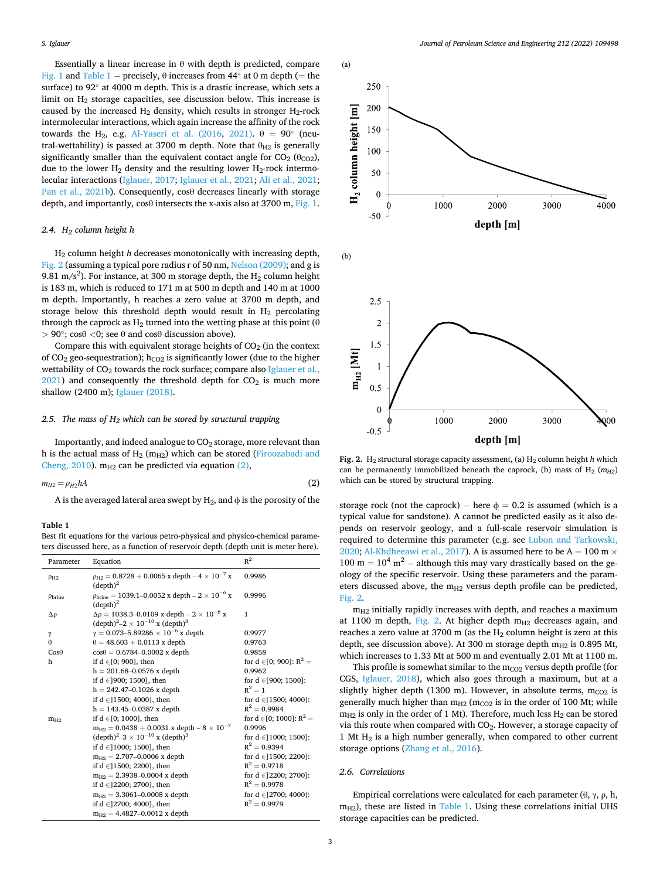Essentially a linear increase in  $\theta$  with depth is predicted, compare [Fig. 1](#page-2-0) and Table 1 – precisely,  $\theta$  increases from 44 $\degree$  at 0 m depth (= the surface) to 92◦ at 4000 m depth. This is a drastic increase, which sets a limit on  $H_2$  storage capacities, see discussion below. This increase is caused by the increased  $H_2$  density, which results in stronger  $H_2$ -rock intermolecular interactions, which again increase the affinity of the rock towards the H<sub>2</sub>, e.g. [Al-Yaseri et al. \(2016](#page-4-0), [2021\).](#page-4-0)  $θ = 90°$  (neutral-wettability) is passed at 3700 m depth. Note that  $\theta_{H2}$  is generally significantly smaller than the equivalent contact angle for  $CO<sub>2</sub>$  ( $\theta_{CO2}$ ), due to the lower  $H_2$  density and the resulting lower  $H_2$ -rock intermolecular interactions ([Iglauer, 2017](#page-4-0); [Iglauer et al., 2021; Ali et al., 2021](#page-4-0); [Pan et al., 2021b](#page-4-0)). Consequently, cosθ decreases linearly with storage depth, and importantly, cosθ intersects the x-axis also at 3700 m, [Fig. 1](#page-2-0).

#### *2.4. H2 column height h*

H2 column height *h* decreases monotonically with increasing depth, Fig. 2 (assuming a typical pore radius r of 50 nm, [Nelson \(2009\)](#page-4-0); and g is 9.81 m/s<sup>2</sup>). For instance, at 300 m storage depth, the  $H_2$  column height is 183 m, which is reduced to 171 m at 500 m depth and 140 m at 1000 m depth. Importantly, h reaches a zero value at 3700 m depth, and storage below this threshold depth would result in  $H_2$  percolating through the caprock as  $H_2$  turned into the wetting phase at this point ( $\theta$ ) *>* 90◦; cosθ *<*0; see θ and cosθ discussion above).

Compare this with equivalent storage heights of  $CO<sub>2</sub>$  (in the context of CO<sub>2</sub> geo-sequestration);  $h_{CO2}$  is significantly lower (due to the higher wettability of  $CO<sub>2</sub>$  towards the rock surface; compare also Iglauer et al.,  $2021$ ) and consequently the threshold depth for  $CO<sub>2</sub>$  is much more shallow (2400 m); [Iglauer \(2018\).](#page-4-0)

#### 2.5. The mass of  $H_2$  which can be stored by structural trapping

Importantly, and indeed analogue to  $CO<sub>2</sub>$  storage, more relevant than h is the actual mass of  $H_2$  ( $m_{H2}$ ) which can be stored (Firoozabadi and [Cheng, 2010](#page-4-0)).  $m_{H2}$  can be predicted via equation (2),

$$
m_{H2} = \rho_{H2} hA \tag{2}
$$

#### **Table 1**

Best fit equations for the various petro-physical and physico-chemical parameters discussed here, as a function of reservoir depth (depth unit is meter here).

| Parameter             | Equation                                                                                                                     | $R^2$                           |
|-----------------------|------------------------------------------------------------------------------------------------------------------------------|---------------------------------|
| $\rho_{H2}$           | $\rho_{H2} = 0.8728 + 0.0065$ x depth $-4 \times 10^{-7}$ x<br>(depth) <sup>2</sup>                                          | 0.9986                          |
| $\rho_{\text{brine}}$ | $\rho_{\text{brine}} = 1039.1 - 0.0052$ x depth $- 2 \times 10^{-6}$ x<br>$(\text{depth})^2$                                 | 0.9996                          |
| $\Delta \rho$         | $\Delta \rho = 1038.3 - 0.0109$ x depth $- 2 \times 10^{-6}$ x<br>$(\text{depth})^2 - 2 \times 10^{-10} \text{ x (depth)}^3$ | $\mathbf{1}$                    |
| $\gamma$              | $\gamma = 0.073 - 5.89286 \times 10^{-6}$ x depth                                                                            | 0.9977                          |
| $\theta$              | $\theta = 48.603 + 0.0113$ x depth                                                                                           | 0.9763                          |
| $Cos\theta$           | $cos\theta = 0.6784 - 0.0002$ x depth                                                                                        | 0.9858                          |
| ħ                     | if $d \in [0, 900]$ , then                                                                                                   | for $d \in [0; 900]$ : $R^2 =$  |
|                       | $h = 201.68 - 0.0576$ x depth                                                                                                | 0.9962                          |
|                       | if d $\in$ ]900; 1500], then                                                                                                 | for $d \in [900; 1500]$ :       |
|                       | $h = 242.47 - 0.1026$ x depth                                                                                                | $R^2 = 1$                       |
|                       | if d $\in$ [1500; 4000], then                                                                                                | for $d \in [1500; 4000]$ :      |
|                       | $h = 143.45 - 0.0387$ x depth                                                                                                | $R^2 = 0.9984$                  |
| $m_{H2}$              | if $d \in [0; 1000]$ , then                                                                                                  | for $d \in [0; 1000]$ : $R^2 =$ |
|                       | $m_{H2} = 0.0438 + 0.0031$ x depth $-8 \times 10^{-7}$                                                                       | 0.9996                          |
|                       | $(\text{depth})^2 - 3 \times 10^{-10} \text{ x (depth)}^3$                                                                   | for $d \in ]1000; 1500]$ :      |
|                       | if d $\in$ ]1000; 1500], then                                                                                                | $R^2 = 0.9394$                  |
|                       | $m_{H2} = 2.707 - 0.0006$ x depth                                                                                            | for $d \in ]1500; 2200]$ :      |
|                       | if d $\in$ [1500; 2200], then                                                                                                | $R^2 = 0.9718$                  |
|                       | $m_{H2} = 2.3938 - 0.0004$ x depth                                                                                           | for $d \in ]2200; 2700]$ :      |
|                       | if $d \in ]2200; 2700]$ , then                                                                                               | $R^2 = 0.9978$                  |
|                       | $m_{H2} = 3.3061 - 0.0008$ x depth                                                                                           | for $d \in ]2700; 4000]$ :      |
|                       | if d $\in$ ]2700; 4000], then                                                                                                | $R^2 = 0.9979$                  |
|                       | $m_{H2} = 4.4827 - 0.0012$ x depth                                                                                           |                                 |



Fig. 2. H<sub>2</sub> structural storage capacity assessment, (a) H<sub>2</sub> column height *h* which can be permanently immobilized beneath the caprock, (b) mass of  $H_2$  ( $m_{H2}$ ) which can be stored by structural trapping.

A is the averaged lateral area swept by H<sub>2</sub>, and  $\phi$  is the porosity of the storage rock (not the caprock) – here  $\phi = 0.2$  is assumed (which is a typical value for sandstone). A cannot be predicted easily as it also depends on reservoir geology, and a full-scale reservoir simulation is required to determine this parameter (e.g. see [Lubon and Tarkowski,](#page-4-0)  [2020; Al-Khdheeawi et al., 2017](#page-4-0)). A is assumed here to be  $A = 100$  m  $\times$  $100 \text{ m} = 10^4 \text{ m}^2$  – although this may vary drastically based on the geology of the specific reservoir. Using these parameters and the parameters discussed above, the  $m_{H2}$  versus depth profile can be predicted, Fig. 2.

> $m<sub>H2</sub>$  initially rapidly increases with depth, and reaches a maximum at 1100 m depth, Fig. 2. At higher depth  $m_{H2}$  decreases again, and reaches a zero value at 3700 m (as the  $H_2$  column height is zero at this depth, see discussion above). At 300 m storage depth  $m_{H2}$  is 0.895 Mt, which increases to 1.33 Mt at 500 m and eventually 2.01 Mt at 1100 m.

> This profile is somewhat similar to the  $m_{CO2}$  versus depth profile (for CGS, [Iglauer, 2018\)](#page-4-0), which also goes through a maximum, but at a slightly higher depth (1300 m). However, in absolute terms,  $m_{CO2}$  is generally much higher than  $m_{H2}$  ( $m_{CO2}$  is in the order of 100 Mt; while  $m_{H2}$  is only in the order of 1 Mt). Therefore, much less  $H_2$  can be stored via this route when compared with  $CO<sub>2</sub>$ . However, a storage capacity of 1 Mt  $H_2$  is a high number generally, when compared to other current storage options ([Zhang et al., 2016](#page-4-0)).

#### *2.6. Correlations*

Empirical correlations were calculated for each parameter  $(\theta, \gamma, \rho, h, \phi)$  $m<sub>H2</sub>$ ), these are listed in Table 1. Using these correlations initial UHS storage capacities can be predicted.